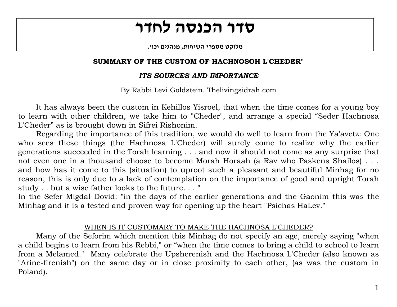# **סדר הכנסה לחדר**

**. מלוקט מספרי השיחות, מנהגים וכו'**

## **SUMMARY OF THE CUSTOM OF HACHNOSOH L'CHEDER"**

# *ITS SOURCES AND IMPORTANCE*

By Rabbi Levi Goldstein. Thelivingsidrah.com

It has always been the custom in Kehillos Yisroel, that when the time comes for a young boy to learn with other children, we take him to "Cheder", and arrange a special "Seder Hachnosa L'Cheder" as is brought down in Sifrei Rishonim.

 Regarding the importance of this tradition, we would do well to learn from the Ya'avetz: One who sees these things (the Hachnosa L'Cheder) will surely come to realize why the earlier generations succeeded in the Torah learning . . . and now it should not come as any surprise that not even one in a thousand choose to become Morah Horaah (a Rav who Paskens Shailos) . . . and how has it come to this (situation) to uproot such a pleasant and beautiful Minhag for no reason, this is only due to a lack of contemplation on the importance of good and upright Torah study . . but a wise father looks to the future. . . "

In the Sefer Migdal Dovid: "in the days of the earlier generations and the Gaonim this was the Minhag and it is a tested and proven way for opening up the heart "Psichas HaLev."

# WHEN IS IT CUSTOMARY TO MAKE THE HACHNOSA L'CHEDER?

 Many of the Seforim which mention this Minhag do not specify an age, merely saying "when a child begins to learn from his Rebbi," or "when the time comes to bring a child to school to learn from a Melamed." Many celebrate the Upsherenish and the Hachnosa L'Cheder (also known as "Arine-firenish") on the same day or in close proximity to each other, (as was the custom in Poland).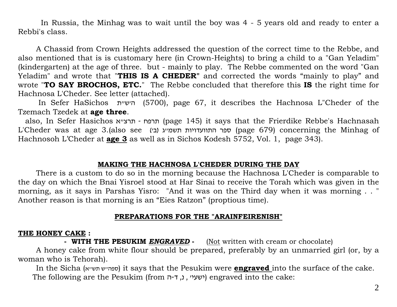In Russia, the Minhag was to wait until the boy was 4 - 5 years old and ready to enter a Rebbi's class.

 A Chassid from Crown Heights addressed the question of the correct time to the Rebbe, and also mentioned that is is customary here (in Crown-Heights) to bring a child to a "Gan Yeladim" (kindergarten) at the age of three. but - mainly to play. The Rebbe commented on the word "Gan Yeladim" and wrote that "**THIS IS A CHEDER"** and corrected the words "mainly to play" and wrote "**TO SAY BROCHOS, ETC.**" The Rebbe concluded that therefore this **IS** the right time for Hachnosa L'Cheder. See letter (attached).

 In Sefer HaSichos ת " <sup>ש</sup>'<sup>ה</sup>) 5700(, page 67, it describes the Hachnosa L"Cheder of the Tzemach Tzedek at **age three**.

also, In Sefer Hasichos תרפח - תרצייא (page 145) it says that the Frierdike Rebbe's Hachnasah L'Cheder was at age 3.(also see (עפר התוועדויות תשמייג (בי (גבי (גבי (גבי התוועדויות ספר) concerning the Minhag of Hachnosoh L'Cheder at **age 3** as well as in Sichos Kodesh 5752, Vol. 1, page 343).

#### **MAKING THE HACHNOSA L'CHEDER DURING THE DAY**

There is a custom to do so in the morning because the Hachnosa L'Cheder is comparable to the day on which the Bnai Yisroel stood at Har Sinai to receive the Torah which was given in the morning, as it says in Parshas Yisro: "And it was on the Third day when it was morning . . " Another reason is that morning is an "Eies Ratzon" (proptious time).

# **PREPARATIONS FOR THE "ARAINFEIRENISH"**

### **THE HONEY CAKE :**

**- WITH THE PESUKIM** *ENGRAVED***-** (Not written with cream or chocolate)

 A honey cake from white flour should be prepared, preferably by an unmarried girl (or, by a woman who is Tehorah).

In the Sicha (ספהייש תשייא) it says that the Pesukim were **<u>engraved i</u>nto the surface of the cake.** The following are the Pesukim (ישעי׳ , נ, ד-ה') , י $\epsilon$ ישעיי) engraved into the cake: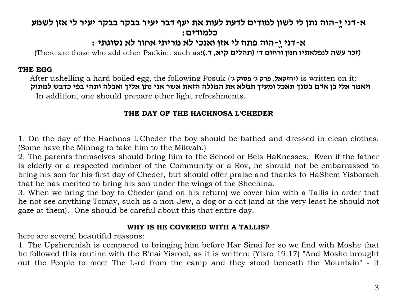# א-דני יֵ-הוה נתן לי לשון למודים לדעת לעות את יעף דבר יעיר בבקר בבקר יעיר לי אזן לשמע **כלמודים :**

# **<sup>א</sup>-דני ֱי-הוה פתח לי אזן ואנכי לא מריתי אחור לא נסוגתי :**

 **(זכר עשה לנפלאתיו חנון ורחום <sup>ד</sup>' (תהלים קיא, ד.):**as such .Psukim other add who those are There(

#### **THE EGG**

 After ushelling a hard boiled egg, the following Posuk (**'<sup>ג</sup> פסוק' <sup>ג</sup> פרק ,יחזקאל (**is written on it: ויאמר אלי בן אדם בטנך תאכל ומעיך תמלא את המגלה הזאת אשר אני נתן אליך ואכלה ותהי בפי כדבש למתוק In addition, one should prepare other light refreshments.

# **THE DAY OF THE HACHNOSA L'CHEDER**

1. On the day of the Hachnos L'Cheder the boy should be bathed and dressed in clean clothes. (Some have the Minhag to take him to the Mikvah.)

2. The parents themselves should bring him to the School or Beis HaKnesses. Even if the father is elderly or a respected member of the Community or a Rov, he should not be embarrassed to bring his son for his first day of Cheder, but should offer praise and thanks to HaShem Yisborach that he has merited to bring his son under the wings of the Shechina.

3. When we bring the boy to Cheder (and on his return) we cover him with a Tallis in order that he not see anything Tomay, such as a non-Jew, a dog or a cat (and at the very least he should not gaze at them). One should be careful about this that entire day.

### **WHY IS HE COVERED WITH A TALLIS?**

here are several beautiful reasons:

1. The Upsherenish is compared to bringing him before Har Sinai for so we find with Moshe that he followed this routine with the B'nai Yisroel, as it is written: (Yisro 19:17) "And Moshe brought out the People to meet The L-rd from the camp and they stood beneath the Mountain" - it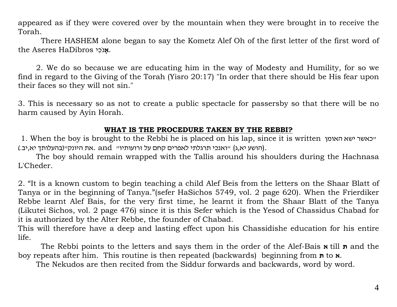appeared as if they were covered over by the mountain when they were brought in to receive the Torah.

 There HASHEM alone began to say the Kometz Alef Oh of the first letter of the first word of the Aseres HaDibros **אָ**נֹכִי.

 2. We do so because we are educating him in the way of Modesty and Humility, for so we find in regard to the Giving of the Torah (Yisro 20:17) "In order that there should be His fear upon their faces so they will not sin."

3. This is necessary so as not to create a public spectacle for passersby so that there will be no harm caused by Ayin Horah.

### **WHAT IS THE PROCEDURE TAKEN BY THE REBBI?**

1. When the boy is brought to the Rebbi he is placed on his lap, since it is written האומן ישא כאשר " הושע יא,ג) ייואנכי תרגלתי לאפרים קחם על זרועותיו״ and .את היונק׳׳(בהעלותך יא,יב.),

 The boy should remain wrapped with the Tallis around his shoulders during the Hachnasa L'Cheder.

2. "It is a known custom to begin teaching a child Alef Beis from the letters on the Shaar Blatt of Tanya or in the beginning of Tanya."(sefer HaSichos 5749, vol. 2 page 620). When the Frierdiker Rebbe learnt Alef Bais, for the very first time, he learnt it from the Shaar Blatt of the Tanya (Likutei Sichos, vol. 2 page 476) since it is this Sefer which is the Yesod of Chassidus Chabad for it is authorized by the Alter Rebbe, the founder of Chabad.

This will therefore have a deep and lasting effect upon his Chassidishe education for his entire life.

 The Rebbi points to the letters and says them in the order of the Alef-Bais till **א ת** and the boy repeats after him. This routine is then repeated (backwards) beginning from to **ת** .**א**

The Nekudos are then recited from the Siddur forwards and backwards, word by word.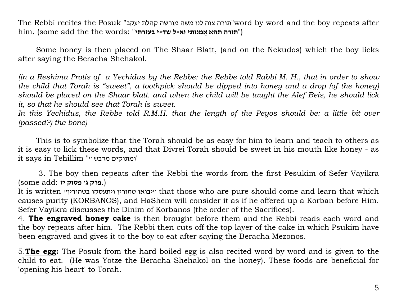The Rebbi recites the Posuk "תורה צוה לנו משה מורשה קהלת יעקב" word by word and the boy repeats after ("**תורה תהא אֻ מנותי וא-ל שד-<sup>י</sup> בעזרתי**" :words the the add some (.him

 Some honey is then placed on The Shaar Blatt, (and on the Nekudos) which the boy licks after saying the Beracha Shehakol.

*(in a Reshima Protis of a Yechidus by the Rebbe: the Rebbe told Rabbi M. H., that in order to show the child that Torah is "sweet", a toothpick should be dipped into honey and a drop (of the honey) should be placed on the Shaar blatt. and when the child will be taught the Alef Beis, he should lick it, so that he should see that Torah is sweet.* 

In this Yechidus, the Rebbe told R.M.H. that the length of the Peyos should be: a little bit over *(passed?) the bone)* 

 This is to symbolize that the Torah should be as easy for him to learn and teach to others as it is easy to lick these words, and that Divrei Torah should be sweet in his mouth like honey - as it says in Tehillim "" ומתוקים מדבש"

 3. The boy then repeats after the Rebbi the words from the first Pesukim of Sefer Vayikra (.**פרק <sup>ג</sup>' פסוק יז** :add some(

It is written "בטהורין ויתעסקו טהורין יבואו "that those who are pure should come and learn that which causes purity (KORBANOS), and HaShem will consider it as if he offered up a Korban before Him. Sefer Vayikra discusses the Dinim of Korbanos (the order of the Sacrifices).

4. **The engraved honey cake** is then brought before them and the Rebbi reads each word and the boy repeats after him. The Rebbi then cuts off the top layer of the cake in which Psukim have been engraved and gives it to the boy to eat after saying the Beracha Mezonos.

5.**The egg:** The Posuk from the hard boiled egg is also recited word by word and is given to the child to eat. (He was Yotze the Beracha Shehakol on the honey). These foods are beneficial for 'opening his heart' to Torah.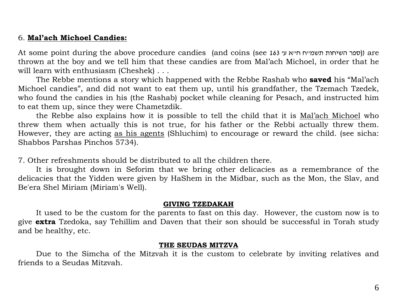### 6. **Mal'ach Michoel Candies:**

At some point during the above procedure candies (and coins (see 163 "מסבר השיחות תשמייח חייא עי $\alpha$ thrown at the boy and we tell him that these candies are from Mal'ach Michoel, in order that he will learn with enthusiasm (Cheshek) . . .

 The Rebbe mentions a story which happened with the Rebbe Rashab who **saved** his "Mal'ach Michoel candies", and did not want to eat them up, until his grandfather, the Tzemach Tzedek, who found the candies in his (the Rashab) pocket while cleaning for Pesach, and instructed him to eat them up, since they were Chametzdik.

 the Rebbe also explains how it is possible to tell the child that it is Mal'ach Michoel who threw them when actually this is not true, for his father or the Rebbi actually threw them. However, they are acting as his agents (Shluchim) to encourage or reward the child. (see sicha: Shabbos Parshas Pinchos 5734).

7. Other refreshments should be distributed to all the children there.

 It is brought down in Seforim that we bring other delicacies as a remembrance of the delicacies that the Yidden were given by HaShem in the Midbar, such as the Mon, the Slav, and Be'era Shel Miriam (Miriam's Well).

#### **GIVING TZEDAKAH**

 It used to be the custom for the parents to fast on this day. However, the custom now is to give **extra** Tzedoka, say Tehillim and Daven that their son should be successful in Torah study and be healthy, etc.

#### **THE SEUDAS MITZVA**

 Due to the Simcha of the Mitzvah it is the custom to celebrate by inviting relatives and friends to a Seudas Mitzvah.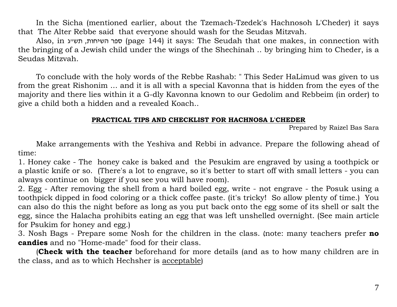In the Sicha (mentioned earlier, about the Tzemach-Tzedek's Hachnosoh L'Cheder) it says that The Alter Rebbe said that everyone should wash for the Seudas Mitzvah.

Also, in ספר השיחות, תשייג (page 144) it says: The Seudah that one makes, in connection with the bringing of a Jewish child under the wings of the Shechinah .. by bringing him to Cheder, is a Seudas Mitzvah.

 To conclude with the holy words of the Rebbe Rashab: " This Seder HaLimud was given to us from the great Rishonim ... and it is all with a special Kavonna that is hidden from the eyes of the majority and there lies within it a G-dly Kavonna known to our Gedolim and Rebbeim (in order) to give a child both a hidden and a revealed Koach..

#### **PRACTICAL TIPS AND CHECKLIST FOR HACHNOSA L'CHEDER**

Prepared by Raizel Bas Sara

 Make arrangements with the Yeshiva and Rebbi in advance. Prepare the following ahead of time:

1. Honey cake - The honey cake is baked and the Pesukim are engraved by using a toothpick or a plastic knife or so. (There's a lot to engrave, so it's better to start off with small letters - you can always continue on bigger if you see you will have room).

2. Egg - After removing the shell from a hard boiled egg, write - not engrave - the Posuk using a toothpick dipped in food coloring or a thick coffee paste. (it's tricky! So allow plenty of time.) You can also do this the night before as long as you put back onto the egg some of its shell or salt the egg, since the Halacha prohibits eating an egg that was left unshelled overnight. (See main article for Psukim for honey and egg.)

3. Nosh Bags - Prepare some Nosh for the children in the class. (note: many teachers prefer **no candies** and no "Home-made" food for their class.

 (**Check with the teacher** beforehand for more details (and as to how many children are in the class, and as to which Hechsher is acceptable)